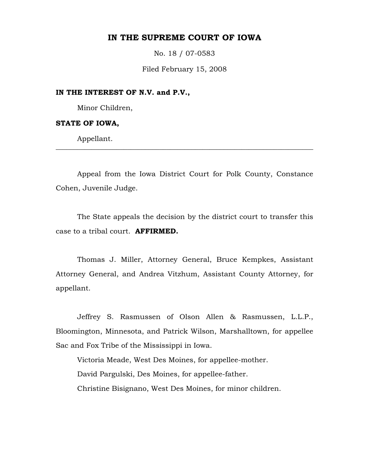# **IN THE SUPREME COURT OF IOWA**

No. 18 / 07-0583

Filed February 15, 2008

### **IN THE INTEREST OF N.V. and P.V.,**

Minor Children,

#### **STATE OF IOWA,**

Appellant.

 Appeal from the Iowa District Court for Polk County, Constance Cohen, Juvenile Judge.

\_\_\_\_\_\_\_\_\_\_\_\_\_\_\_\_\_\_\_\_\_\_\_\_\_\_\_\_\_\_\_\_\_\_\_\_\_\_\_\_\_\_\_\_\_\_\_\_\_\_\_\_\_\_\_\_\_\_\_\_\_\_\_\_\_\_\_\_\_\_\_\_

 The State appeals the decision by the district court to transfer this case to a tribal court. **AFFIRMED.**

 Thomas J. Miller, Attorney General, Bruce Kempkes, Assistant Attorney General, and Andrea Vitzhum, Assistant County Attorney, for appellant.

Jeffrey S. Rasmussen of Olson Allen & Rasmussen, L.L.P., Bloomington, Minnesota, and Patrick Wilson, Marshalltown, for appellee Sac and Fox Tribe of the Mississippi in Iowa.

Victoria Meade, West Des Moines, for appellee-mother. David Pargulski, Des Moines, for appellee-father. Christine Bisignano, West Des Moines, for minor children.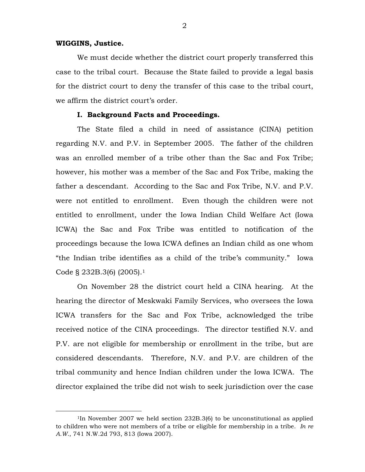#### **WIGGINS, Justice.**

 We must decide whether the district court properly transferred this case to the tribal court. Because the State failed to provide a legal basis for the district court to deny the transfer of this case to the tribal court, we affirm the district court's order.

### **I. Background Facts and Proceedings.**

The State filed a child in need of assistance (CINA) petition regarding N.V. and P.V. in September 2005. The father of the children was an enrolled member of a tribe other than the Sac and Fox Tribe; however, his mother was a member of the Sac and Fox Tribe, making the father a descendant. According to the Sac and Fox Tribe, N.V. and P.V. were not entitled to enrollment. Even though the children were not entitled to enrollment, under the Iowa Indian Child Welfare Act (Iowa ICWA) the Sac and Fox Tribe was entitled to notification of the proceedings because the Iowa ICWA defines an Indian child as one whom "the Indian tribe identifies as a child of the tribe's community." Iowa Code § 232B.3(6) (2005).1

On November 28 the district court held a CINA hearing. At the hearing the director of Meskwaki Family Services, who oversees the Iowa ICWA transfers for the Sac and Fox Tribe, acknowledged the tribe received notice of the CINA proceedings. The director testified N.V. and P.V. are not eligible for membership or enrollment in the tribe, but are considered descendants. Therefore, N.V. and P.V. are children of the tribal community and hence Indian children under the Iowa ICWA. The director explained the tribe did not wish to seek jurisdiction over the case

<sup>&</sup>lt;sup>1</sup>In November 2007 we held section 232B.3(6) to be unconstitutional as applied to children who were not members of a tribe or eligible for membership in a tribe. *In re A.W.*, 741 N.W.2d 793, 813 (Iowa 2007).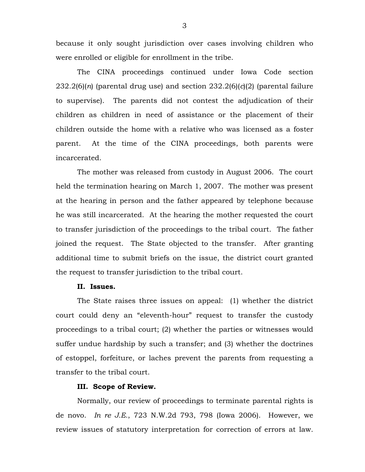because it only sought jurisdiction over cases involving children who were enrolled or eligible for enrollment in the tribe.

The CINA proceedings continued under Iowa Code section 232.2(6)(*n*) (parental drug use) and section 232.2(6)(*c*)(2) (parental failure to supervise). The parents did not contest the adjudication of their children as children in need of assistance or the placement of their children outside the home with a relative who was licensed as a foster parent. At the time of the CINA proceedings, both parents were incarcerated.

The mother was released from custody in August 2006. The court held the termination hearing on March 1, 2007. The mother was present at the hearing in person and the father appeared by telephone because he was still incarcerated. At the hearing the mother requested the court to transfer jurisdiction of the proceedings to the tribal court. The father joined the request. The State objected to the transfer. After granting additional time to submit briefs on the issue, the district court granted the request to transfer jurisdiction to the tribal court.

### **II. Issues.**

The State raises three issues on appeal: (1) whether the district court could deny an "eleventh-hour" request to transfer the custody proceedings to a tribal court; (2) whether the parties or witnesses would suffer undue hardship by such a transfer; and (3) whether the doctrines of estoppel, forfeiture, or laches prevent the parents from requesting a transfer to the tribal court.

## **III. Scope of Review.**

Normally, our review of proceedings to terminate parental rights is de novo. *In re J.E.*, 723 N.W.2d 793, 798 (Iowa 2006). However, we review issues of statutory interpretation for correction of errors at law.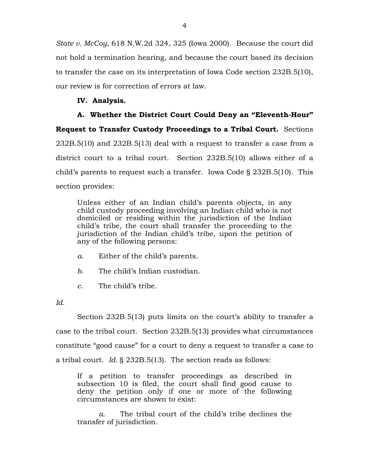*State v. McCoy*, 618 N.W.2d 324, 325 (Iowa 2000). Because the court did not hold a termination hearing, and because the court based its decision to transfer the case on its interpretation of Iowa Code section 232B.5(10), our review is for correction of errors at law.

## **IV. Analysis.**

**A. Whether the District Court Could Deny an "Eleventh-Hour" Request to Transfer Custody Proceedings to a Tribal Court.** Sections 232B.5(10) and 232B.5(13) deal with a request to transfer a case from a district court to a tribal court. Section 232B.5(10) allows either of a child's parents to request such a transfer. Iowa Code § 232B.5(10). This section provides:

Unless either of an Indian child's parents objects, in any child custody proceeding involving an Indian child who is not domiciled or residing within the jurisdiction of the Indian child's tribe, the court shall transfer the proceeding to the jurisdiction of the Indian child's tribe, upon the petition of any of the following persons:

- *a*. Either of the child's parents.
- *b*. The child's Indian custodian.
- *c*. The child's tribe.
- *Id.*

Section 232B.5(13) puts limits on the court's ability to transfer a case to the tribal court. Section 232B.5(13) provides what circumstances constitute "good cause" for a court to deny a request to transfer a case to a tribal court. *Id.* § 232B.5(13). The section reads as follows:

If a petition to transfer proceedings as described in subsection 10 is filed, the court shall find good cause to deny the petition only if one or more of the following circumstances are shown to exist:

*a*. The tribal court of the child's tribe declines the transfer of jurisdiction.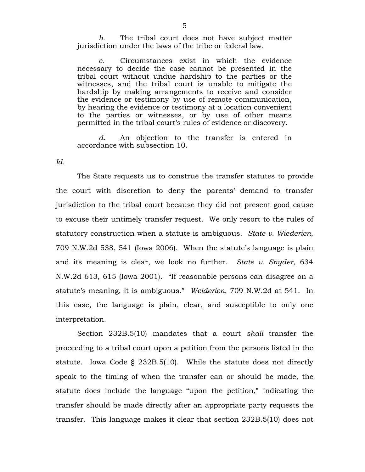*b*. The tribal court does not have subject matter jurisdiction under the laws of the tribe or federal law.

*c*. Circumstances exist in which the evidence necessary to decide the case cannot be presented in the tribal court without undue hardship to the parties or the witnesses, and the tribal court is unable to mitigate the hardship by making arrangements to receive and consider the evidence or testimony by use of remote communication, by hearing the evidence or testimony at a location convenient to the parties or witnesses, or by use of other means permitted in the tribal court's rules of evidence or discovery.

*d*. An objection to the transfer is entered in accordance with subsection 10.

*Id.* 

 The State requests us to construe the transfer statutes to provide the court with discretion to deny the parents' demand to transfer jurisdiction to the tribal court because they did not present good cause to excuse their untimely transfer request. We only resort to the rules of statutory construction when a statute is ambiguous. *State v. Wiederien*, 709 N.W.2d 538, 541 (Iowa 2006). When the statute's language is plain and its meaning is clear, we look no further. *State v. Snyder*, 634 N.W.2d 613, 615 (Iowa 2001). "If reasonable persons can disagree on a statute's meaning, it is ambiguous." *Weiderien*, 709 N.W.2d at 541. In this case, the language is plain, clear, and susceptible to only one interpretation.

Section 232B.5(10) mandates that a court *shall* transfer the proceeding to a tribal court upon a petition from the persons listed in the statute. Iowa Code § 232B.5(10). While the statute does not directly speak to the timing of when the transfer can or should be made, the statute does include the language "upon the petition," indicating the transfer should be made directly after an appropriate party requests the transfer. This language makes it clear that section 232B.5(10) does not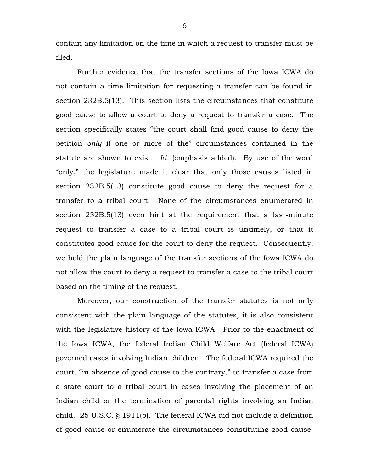contain any limitation on the time in which a request to transfer must be filed.

Further evidence that the transfer sections of the Iowa ICWA do not contain a time limitation for requesting a transfer can be found in section 232B.5(13). This section lists the circumstances that constitute good cause to allow a court to deny a request to transfer a case. The section specifically states "the court shall find good cause to deny the petition *only* if one or more of the" circumstances contained in the statute are shown to exist. *Id.* (emphasis added). By use of the word "only," the legislature made it clear that only those causes listed in section 232B.5(13) constitute good cause to deny the request for a transfer to a tribal court. None of the circumstances enumerated in section 232B.5(13) even hint at the requirement that a last-minute request to transfer a case to a tribal court is untimely, or that it constitutes good cause for the court to deny the request. Consequently, we hold the plain language of the transfer sections of the Iowa ICWA do not allow the court to deny a request to transfer a case to the tribal court based on the timing of the request.

 Moreover, our construction of the transfer statutes is not only consistent with the plain language of the statutes, it is also consistent with the legislative history of the Iowa ICWA. Prior to the enactment of the Iowa ICWA, the federal Indian Child Welfare Act (federal ICWA) governed cases involving Indian children. The federal ICWA required the court, "in absence of good cause to the contrary," to transfer a case from a state court to a tribal court in cases involving the placement of an Indian child or the termination of parental rights involving an Indian child. 25 U.S.C. § 1911(b). The federal ICWA did not include a definition of good cause or enumerate the circumstances constituting good cause.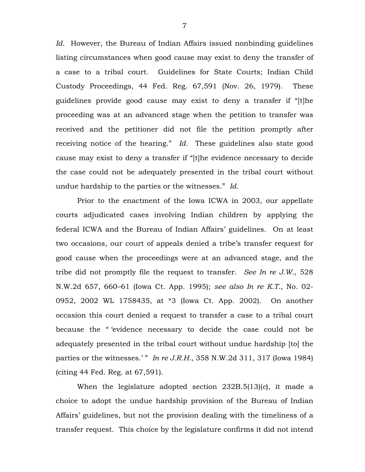*Id.* However, the Bureau of Indian Affairs issued nonbinding guidelines listing circumstances when good cause may exist to deny the transfer of a case to a tribal court. Guidelines for State Courts; Indian Child Custody Proceedings, 44 Fed. Reg. 67,591 (Nov. 26, 1979). These guidelines provide good cause may exist to deny a transfer if "[t]he proceeding was at an advanced stage when the petition to transfer was received and the petitioner did not file the petition promptly after receiving notice of the hearing." *Id.* These guidelines also state good cause may exist to deny a transfer if "[t]he evidence necessary to decide the case could not be adequately presented in the tribal court without undue hardship to the parties or the witnesses." *Id.*

Prior to the enactment of the Iowa ICWA in 2003, our appellate courts adjudicated cases involving Indian children by applying the federal ICWA and the Bureau of Indian Affairs' guidelines. On at least two occasions, our court of appeals denied a tribe's transfer request for good cause when the proceedings were at an advanced stage, and the tribe did not promptly file the request to transfer. *See In re J.W.*, 528 N.W.2d 657, 660–61 (Iowa Ct. App. 1995); *see also In re K.T.*, No. 02- 0952, 2002 WL 1758435, at \*3 (Iowa Ct. App. 2002). On another occasion this court denied a request to transfer a case to a tribal court because the " 'evidence necessary to decide the case could not be adequately presented in the tribal court without undue hardship [to] the parties or the witnesses.' " *In re J.R.H.*, 358 N.W.2d 311, 317 (Iowa 1984) (citing 44 Fed. Reg. at 67,591).

When the legislature adopted section 232B.5(13)(*c*), it made a choice to adopt the undue hardship provision of the Bureau of Indian Affairs' guidelines, but not the provision dealing with the timeliness of a transfer request. This choice by the legislature confirms it did not intend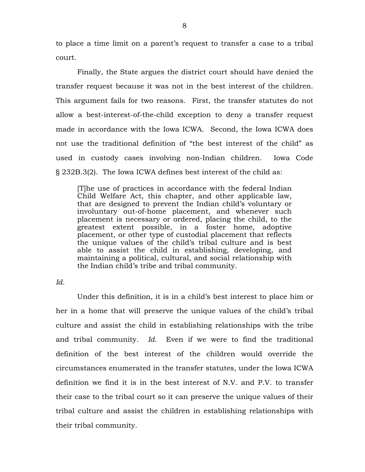to place a time limit on a parent's request to transfer a case to a tribal court.

Finally, the State argues the district court should have denied the transfer request because it was not in the best interest of the children. This argument fails for two reasons. First, the transfer statutes do not allow a best-interest-of-the-child exception to deny a transfer request made in accordance with the Iowa ICWA. Second, the Iowa ICWA does not use the traditional definition of "the best interest of the child" as used in custody cases involving non-Indian children. Iowa Code § 232B.3(2). The Iowa ICWA defines best interest of the child as:

[T]he use of practices in accordance with the federal Indian Child Welfare Act, this chapter, and other applicable law, that are designed to prevent the Indian child's voluntary or involuntary out-of-home placement, and whenever such placement is necessary or ordered, placing the child, to the greatest extent possible, in a foster home, adoptive placement, or other type of custodial placement that reflects the unique values of the child's tribal culture and is best able to assist the child in establishing, developing, and maintaining a political, cultural, and social relationship with the Indian child's tribe and tribal community.

*Id.* 

Under this definition, it is in a child's best interest to place him or her in a home that will preserve the unique values of the child's tribal culture and assist the child in establishing relationships with the tribe and tribal community. *Id.* Even if we were to find the traditional definition of the best interest of the children would override the circumstances enumerated in the transfer statutes, under the Iowa ICWA definition we find it is in the best interest of N.V. and P.V. to transfer their case to the tribal court so it can preserve the unique values of their tribal culture and assist the children in establishing relationships with their tribal community.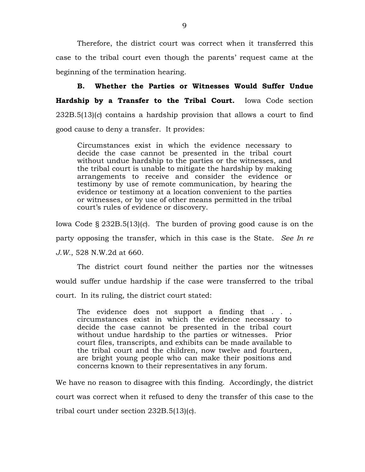Therefore, the district court was correct when it transferred this case to the tribal court even though the parents' request came at the beginning of the termination hearing.

**B. Whether the Parties or Witnesses Would Suffer Undue Hardship by a Transfer to the Tribal Court.** Iowa Code section 232B.5(13)(*c*) contains a hardship provision that allows a court to find good cause to deny a transfer. It provides:

Circumstances exist in which the evidence necessary to decide the case cannot be presented in the tribal court without undue hardship to the parties or the witnesses, and the tribal court is unable to mitigate the hardship by making arrangements to receive and consider the evidence or testimony by use of remote communication, by hearing the evidence or testimony at a location convenient to the parties or witnesses, or by use of other means permitted in the tribal court's rules of evidence or discovery.

Iowa Code § 232B.5(13)(*c*). The burden of proving good cause is on the party opposing the transfer, which in this case is the State. *See In re J.W.*, 528 N.W.2d at 660.

The district court found neither the parties nor the witnesses would suffer undue hardship if the case were transferred to the tribal court. In its ruling, the district court stated:

The evidence does not support a finding that . . . circumstances exist in which the evidence necessary to decide the case cannot be presented in the tribal court without undue hardship to the parties or witnesses. Prior court files, transcripts, and exhibits can be made available to the tribal court and the children, now twelve and fourteen, are bright young people who can make their positions and concerns known to their representatives in any forum.

We have no reason to disagree with this finding. Accordingly, the district court was correct when it refused to deny the transfer of this case to the tribal court under section 232B.5(13)(*c*).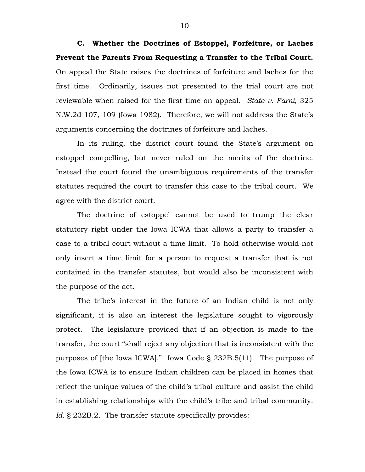**C. Whether the Doctrines of Estoppel, Forfeiture, or Laches Prevent the Parents From Requesting a Transfer to the Tribal Court.** On appeal the State raises the doctrines of forfeiture and laches for the first time. Ordinarily, issues not presented to the trial court are not reviewable when raised for the first time on appeal. *State v. Farni*, 325 N.W.2d 107, 109 (Iowa 1982). Therefore, we will not address the State's arguments concerning the doctrines of forfeiture and laches.

 In its ruling, the district court found the State's argument on estoppel compelling, but never ruled on the merits of the doctrine. Instead the court found the unambiguous requirements of the transfer statutes required the court to transfer this case to the tribal court. We agree with the district court.

The doctrine of estoppel cannot be used to trump the clear statutory right under the Iowa ICWA that allows a party to transfer a case to a tribal court without a time limit. To hold otherwise would not only insert a time limit for a person to request a transfer that is not contained in the transfer statutes, but would also be inconsistent with the purpose of the act.

The tribe's interest in the future of an Indian child is not only significant, it is also an interest the legislature sought to vigorously protect. The legislature provided that if an objection is made to the transfer, the court "shall reject any objection that is inconsistent with the purposes of [the Iowa ICWA]." Iowa Code § 232B.5(11). The purpose of the Iowa ICWA is to ensure Indian children can be placed in homes that reflect the unique values of the child's tribal culture and assist the child in establishing relationships with the child's tribe and tribal community. *Id.* § 232B.2. The transfer statute specifically provides: